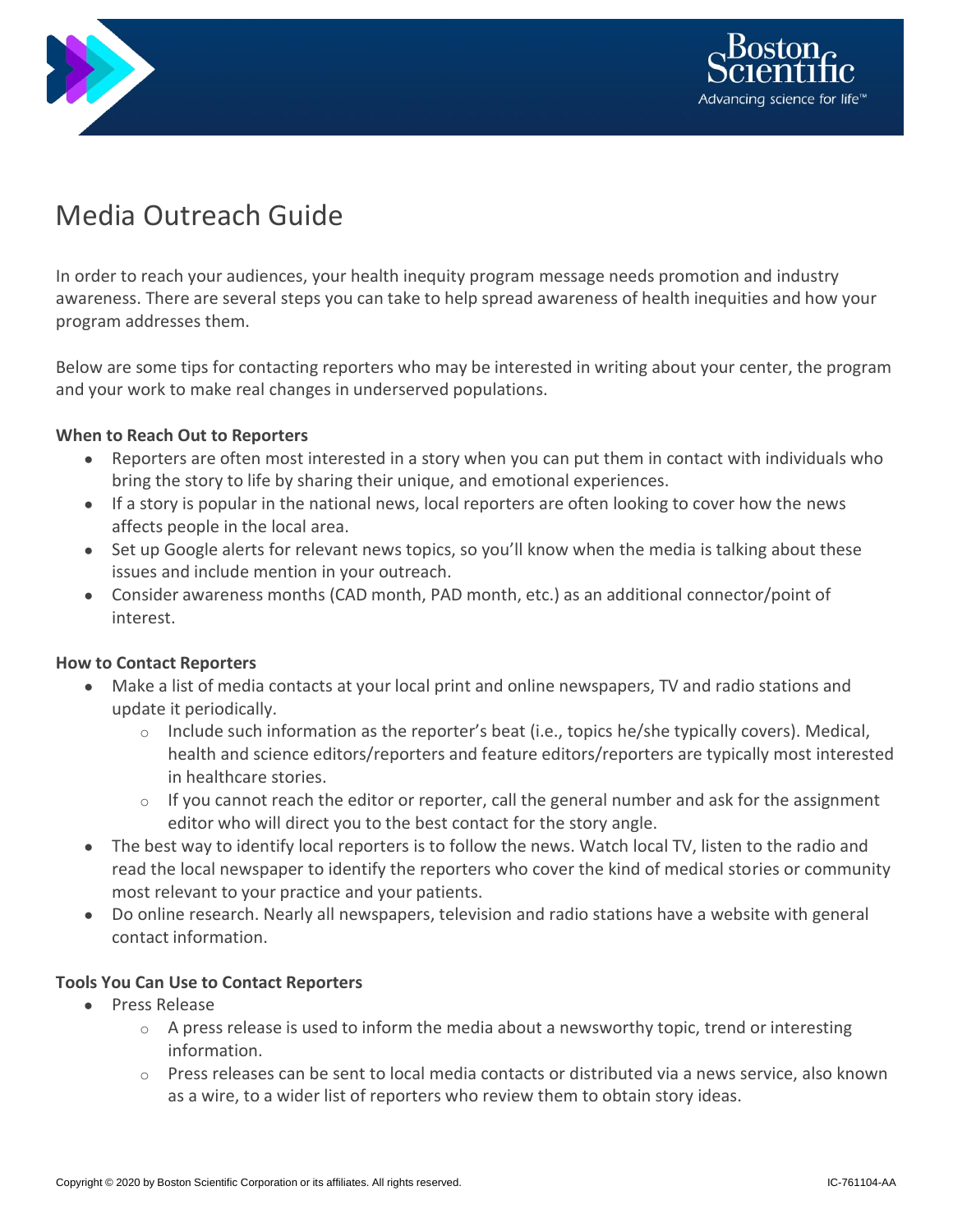



# Media Outreach Guide

In order to reach your audiences, your health inequity program message needs promotion and industry awareness. There are several steps you can take to help spread awareness of health inequities and how your program addresses them.

Below are some tips for contacting reporters who may be interested in writing about your center, the program and your work to make real changes in underserved populations.

## **When to Reach Out to Reporters**

- Reporters are often most interested in a story when you can put them in contact with individuals who bring the story to life by sharing their unique, and emotional experiences.
- If a story is popular in the national news, local reporters are often looking to cover how the news affects people in the local area.
- Set up Google alerts for relevant news topics, so you'll know when the media is talking about these issues and include mention in your outreach.
- Consider awareness months (CAD month, PAD month, etc.) as an additional connector/point of interest.

# **How to Contact Reporters**

- Make a list of media contacts at your local print and online newspapers, TV and radio stations and update it periodically.
	- $\circ$  Include such information as the reporter's beat (i.e., topics he/she typically covers). Medical, health and science editors/reporters and feature editors/reporters are typically most interested in healthcare stories.
	- $\circ$  If you cannot reach the editor or reporter, call the general number and ask for the assignment editor who will direct you to the best contact for the story angle.
- The best way to identify local reporters is to follow the news. Watch local TV, listen to the radio and read the local newspaper to identify the reporters who cover the kind of medical stories or community most relevant to your practice and your patients.
- Do online research. Nearly all newspapers, television and radio stations have a website with general contact information.

### **Tools You Can Use to Contact Reporters**

- Press Release
	- $\circ$  A press release is used to inform the media about a newsworthy topic, trend or interesting information.
	- $\circ$  Press releases can be sent to local media contacts or distributed via a news service, also known as a wire, to a wider list of reporters who review them to obtain story ideas.